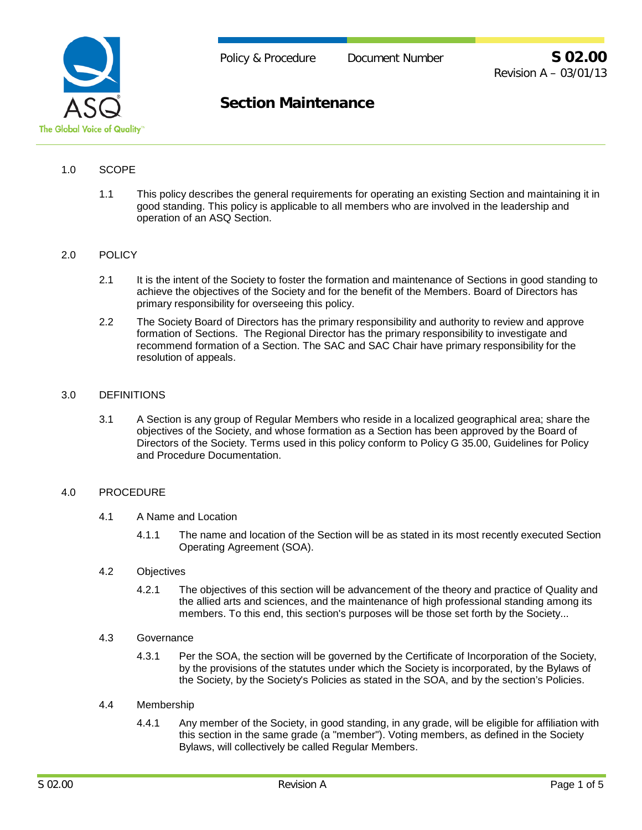

# **Section Maintenance**

## 1.0 SCOPE

1.1 This policy describes the general requirements for operating an existing Section and maintaining it in good standing. This policy is applicable to all members who are involved in the leadership and operation of an ASQ Section.

#### 2.0 POLICY

- 2.1 It is the intent of the Society to foster the formation and maintenance of Sections in good standing to achieve the objectives of the Society and for the benefit of the Members. Board of Directors has primary responsibility for overseeing this policy.
- 2.2 The Society Board of Directors has the primary responsibility and authority to review and approve formation of Sections. The Regional Director has the primary responsibility to investigate and recommend formation of a Section. The SAC and SAC Chair have primary responsibility for the resolution of appeals.

#### 3.0 DEFINITIONS

3.1 A Section is any group of Regular Members who reside in a localized geographical area; share the objectives of the Society, and whose formation as a Section has been approved by the Board of Directors of the Society. Terms used in this policy conform to Policy G 35.00, Guidelines for Policy and Procedure Documentation.

### 4.0 PROCEDURE

- 4.1 A Name and Location
	- 4.1.1 The name and location of the Section will be as stated in its most recently executed Section Operating Agreement (SOA).
- 4.2 Objectives
	- 4.2.1 The objectives of this section will be advancement of the theory and practice of Quality and the allied arts and sciences, and the maintenance of high professional standing among its members. To this end, this section's purposes will be those set forth by the Society...
- 4.3 Governance
	- 4.3.1 Per the SOA, the section will be governed by the Certificate of Incorporation of the Society, by the provisions of the statutes under which the Society is incorporated, by the Bylaws of the Society, by the Society's Policies as stated in the SOA, and by the section's Policies.

## 4.4 Membership

4.4.1 Any member of the Society, in good standing, in any grade, will be eligible for affiliation with this section in the same grade (a "member"). Voting members, as defined in the Society Bylaws, will collectively be called Regular Members.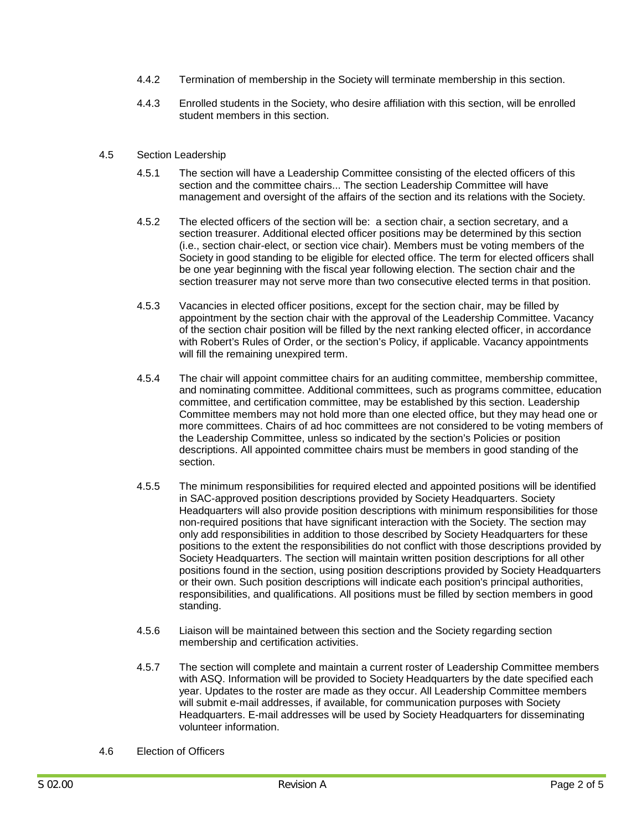- 4.4.2 Termination of membership in the Society will terminate membership in this section.
- 4.4.3 Enrolled students in the Society, who desire affiliation with this section, will be enrolled student members in this section.

#### 4.5 Section Leadership

- 4.5.1 The section will have a Leadership Committee consisting of the elected officers of this section and the committee chairs... The section Leadership Committee will have management and oversight of the affairs of the section and its relations with the Society.
- 4.5.2 The elected officers of the section will be: a section chair, a section secretary, and a section treasurer. Additional elected officer positions may be determined by this section (i.e., section chair-elect, or section vice chair). Members must be voting members of the Society in good standing to be eligible for elected office. The term for elected officers shall be one year beginning with the fiscal year following election. The section chair and the section treasurer may not serve more than two consecutive elected terms in that position.
- 4.5.3 Vacancies in elected officer positions, except for the section chair, may be filled by appointment by the section chair with the approval of the Leadership Committee. Vacancy of the section chair position will be filled by the next ranking elected officer, in accordance with Robert's Rules of Order, or the section's Policy, if applicable. Vacancy appointments will fill the remaining unexpired term.
- 4.5.4 The chair will appoint committee chairs for an auditing committee, membership committee, and nominating committee. Additional committees, such as programs committee, education committee, and certification committee, may be established by this section. Leadership Committee members may not hold more than one elected office, but they may head one or more committees. Chairs of ad hoc committees are not considered to be voting members of the Leadership Committee, unless so indicated by the section's Policies or position descriptions. All appointed committee chairs must be members in good standing of the section.
- 4.5.5 The minimum responsibilities for required elected and appointed positions will be identified in SAC-approved position descriptions provided by Society Headquarters. Society Headquarters will also provide position descriptions with minimum responsibilities for those non-required positions that have significant interaction with the Society. The section may only add responsibilities in addition to those described by Society Headquarters for these positions to the extent the responsibilities do not conflict with those descriptions provided by Society Headquarters. The section will maintain written position descriptions for all other positions found in the section, using position descriptions provided by Society Headquarters or their own. Such position descriptions will indicate each position's principal authorities, responsibilities, and qualifications. All positions must be filled by section members in good standing.
- 4.5.6 Liaison will be maintained between this section and the Society regarding section membership and certification activities.
- 4.5.7 The section will complete and maintain a current roster of Leadership Committee members with ASQ. Information will be provided to Society Headquarters by the date specified each year. Updates to the roster are made as they occur. All Leadership Committee members will submit e-mail addresses, if available, for communication purposes with Society Headquarters. E-mail addresses will be used by Society Headquarters for disseminating volunteer information.
- 4.6 Election of Officers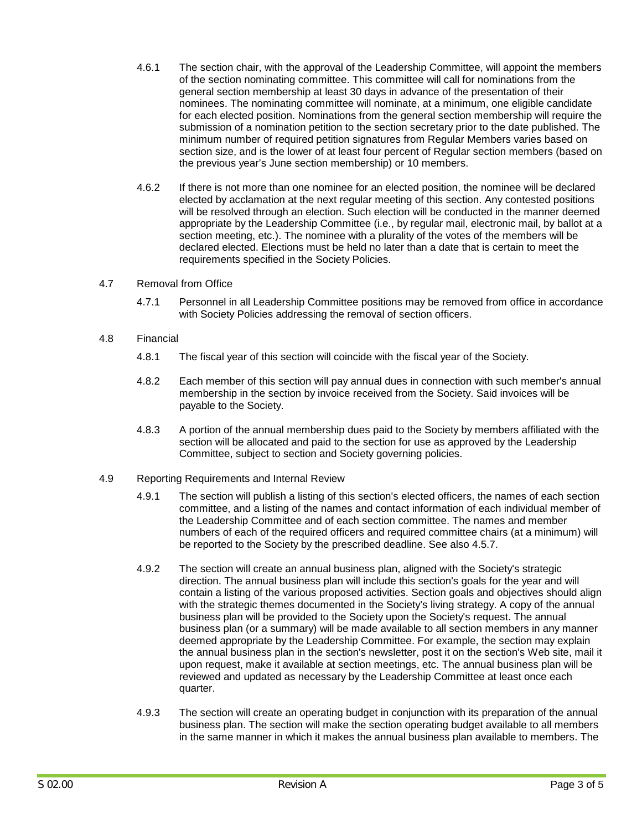- 4.6.1 The section chair, with the approval of the Leadership Committee, will appoint the members of the section nominating committee. This committee will call for nominations from the general section membership at least 30 days in advance of the presentation of their nominees. The nominating committee will nominate, at a minimum, one eligible candidate for each elected position. Nominations from the general section membership will require the submission of a nomination petition to the section secretary prior to the date published. The minimum number of required petition signatures from Regular Members varies based on section size, and is the lower of at least four percent of Regular section members (based on the previous year's June section membership) or 10 members.
- 4.6.2 If there is not more than one nominee for an elected position, the nominee will be declared elected by acclamation at the next regular meeting of this section. Any contested positions will be resolved through an election. Such election will be conducted in the manner deemed appropriate by the Leadership Committee (i.e., by regular mail, electronic mail, by ballot at a section meeting, etc.). The nominee with a plurality of the votes of the members will be declared elected. Elections must be held no later than a date that is certain to meet the requirements specified in the Society Policies.
- 4.7 Removal from Office
	- 4.7.1 Personnel in all Leadership Committee positions may be removed from office in accordance with Society Policies addressing the removal of section officers.
- 4.8 Financial
	- 4.8.1 The fiscal year of this section will coincide with the fiscal year of the Society.
	- 4.8.2 Each member of this section will pay annual dues in connection with such member's annual membership in the section by invoice received from the Society. Said invoices will be payable to the Society.
	- 4.8.3 A portion of the annual membership dues paid to the Society by members affiliated with the section will be allocated and paid to the section for use as approved by the Leadership Committee, subject to section and Society governing policies.
- 4.9 Reporting Requirements and Internal Review
	- 4.9.1 The section will publish a listing of this section's elected officers, the names of each section committee, and a listing of the names and contact information of each individual member of the Leadership Committee and of each section committee. The names and member numbers of each of the required officers and required committee chairs (at a minimum) will be reported to the Society by the prescribed deadline. See also 4.5.7.
	- 4.9.2 The section will create an annual business plan, aligned with the Society's strategic direction. The annual business plan will include this section's goals for the year and will contain a listing of the various proposed activities. Section goals and objectives should align with the strategic themes documented in the Society's living strategy. A copy of the annual business plan will be provided to the Society upon the Society's request. The annual business plan (or a summary) will be made available to all section members in any manner deemed appropriate by the Leadership Committee. For example, the section may explain the annual business plan in the section's newsletter, post it on the section's Web site, mail it upon request, make it available at section meetings, etc. The annual business plan will be reviewed and updated as necessary by the Leadership Committee at least once each quarter.
	- 4.9.3 The section will create an operating budget in conjunction with its preparation of the annual business plan. The section will make the section operating budget available to all members in the same manner in which it makes the annual business plan available to members. The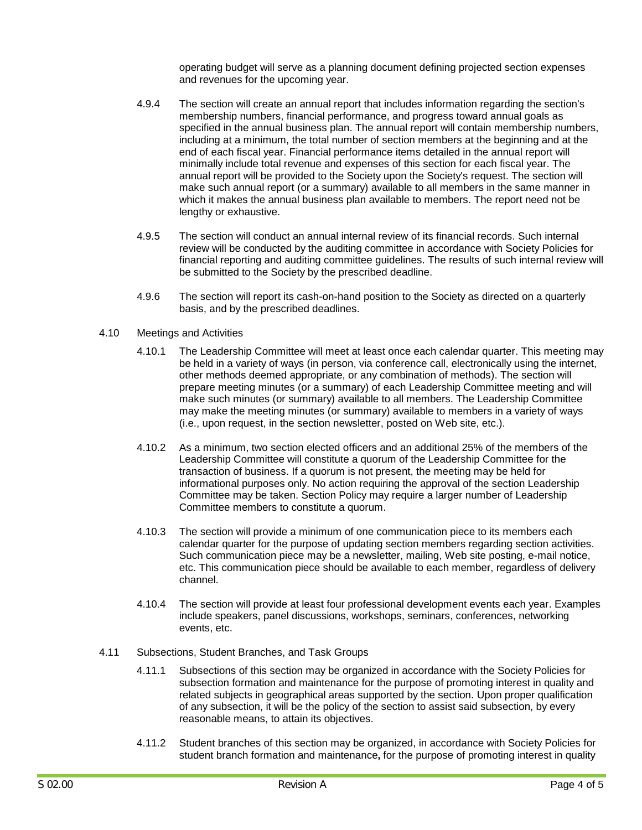operating budget will serve as a planning document defining projected section expenses and revenues for the upcoming year.

- 4.9.4 The section will create an annual report that includes information regarding the section's membership numbers, financial performance, and progress toward annual goals as specified in the annual business plan. The annual report will contain membership numbers, including at a minimum, the total number of section members at the beginning and at the end of each fiscal year. Financial performance items detailed in the annual report will minimally include total revenue and expenses of this section for each fiscal year. The annual report will be provided to the Society upon the Society's request. The section will make such annual report (or a summary) available to all members in the same manner in which it makes the annual business plan available to members. The report need not be lengthy or exhaustive.
- 4.9.5 The section will conduct an annual internal review of its financial records. Such internal review will be conducted by the auditing committee in accordance with Society Policies for financial reporting and auditing committee guidelines. The results of such internal review will be submitted to the Society by the prescribed deadline.
- 4.9.6 The section will report its cash-on-hand position to the Society as directed on a quarterly basis, and by the prescribed deadlines.
- 4.10 Meetings and Activities
	- 4.10.1 The Leadership Committee will meet at least once each calendar quarter. This meeting may be held in a variety of ways (in person, via conference call, electronically using the internet, other methods deemed appropriate, or any combination of methods). The section will prepare meeting minutes (or a summary) of each Leadership Committee meeting and will make such minutes (or summary) available to all members. The Leadership Committee may make the meeting minutes (or summary) available to members in a variety of ways (i.e., upon request, in the section newsletter, posted on Web site, etc.).
	- 4.10.2 As a minimum, two section elected officers and an additional 25% of the members of the Leadership Committee will constitute a quorum of the Leadership Committee for the transaction of business. If a quorum is not present, the meeting may be held for informational purposes only. No action requiring the approval of the section Leadership Committee may be taken. Section Policy may require a larger number of Leadership Committee members to constitute a quorum.
	- 4.10.3 The section will provide a minimum of one communication piece to its members each calendar quarter for the purpose of updating section members regarding section activities. Such communication piece may be a newsletter, mailing, Web site posting, e-mail notice, etc. This communication piece should be available to each member, regardless of delivery channel.
	- 4.10.4 The section will provide at least four professional development events each year. Examples include speakers, panel discussions, workshops, seminars, conferences, networking events, etc.
- 4.11 Subsections, Student Branches, and Task Groups
	- 4.11.1 Subsections of this section may be organized in accordance with the Society Policies for subsection formation and maintenance for the purpose of promoting interest in quality and related subjects in geographical areas supported by the section. Upon proper qualification of any subsection, it will be the policy of the section to assist said subsection, by every reasonable means, to attain its objectives.
	- 4.11.2 Student branches of this section may be organized, in accordance with Society Policies for student branch formation and maintenance**,** for the purpose of promoting interest in quality